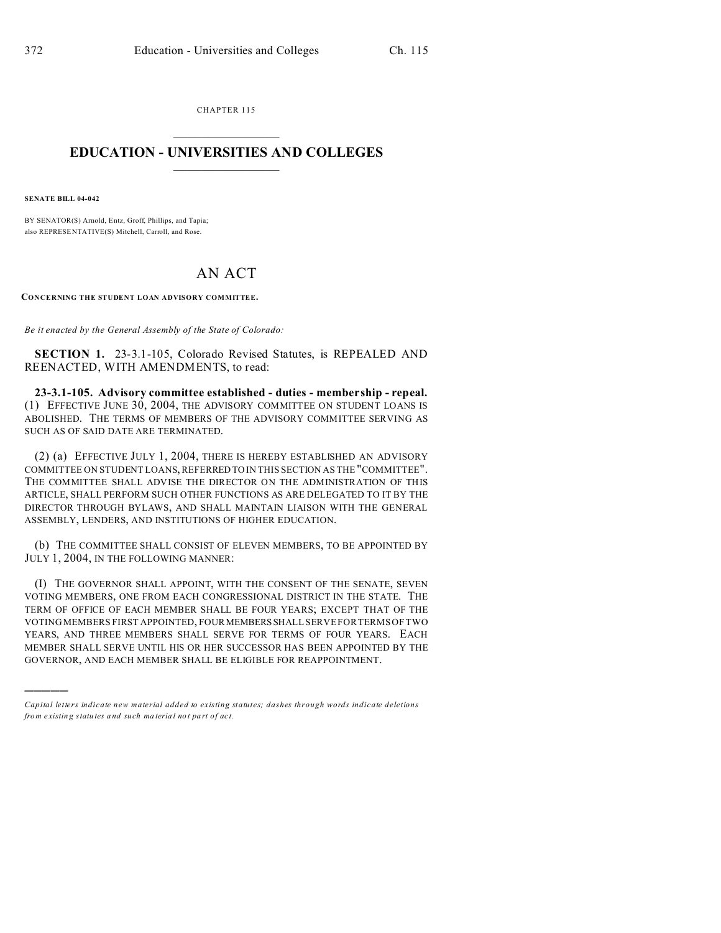CHAPTER 115  $\overline{\phantom{a}}$  , where  $\overline{\phantom{a}}$ 

## **EDUCATION - UNIVERSITIES AND COLLEGES**  $\frac{1}{2}$

**SENATE BILL 04-042**

)))))

BY SENATOR(S) Arnold, Entz, Groff, Phillips, and Tapia; also REPRESE NTATIVE(S) Mitchell, Carroll, and Rose.

## AN ACT

**CONCERNING THE STUDENT LOAN ADVISORY COMMITTEE.**

*Be it enacted by the General Assembly of the State of Colorado:*

**SECTION 1.** 23-3.1-105, Colorado Revised Statutes, is REPEALED AND REENACTED, WITH AMENDMENTS, to read:

**23-3.1-105. Advisory committee established - duties - membership - repeal.** (1) EFFECTIVE JUNE 30, 2004, THE ADVISORY COMMITTEE ON STUDENT LOANS IS ABOLISHED. THE TERMS OF MEMBERS OF THE ADVISORY COMMITTEE SERVING AS SUCH AS OF SAID DATE ARE TERMINATED.

(2) (a) EFFECTIVE JULY 1, 2004, THERE IS HEREBY ESTABLISHED AN ADVISORY COMMITTEE ON STUDENT LOANS, REFERRED TO IN THIS SECTION AS THE "COMMITTEE". THE COMMITTEE SHALL ADVISE THE DIRECTOR ON THE ADMINISTRATION OF THIS ARTICLE, SHALL PERFORM SUCH OTHER FUNCTIONS AS ARE DELEGATED TO IT BY THE DIRECTOR THROUGH BYLAWS, AND SHALL MAINTAIN LIAISON WITH THE GENERAL ASSEMBLY, LENDERS, AND INSTITUTIONS OF HIGHER EDUCATION.

(b) THE COMMITTEE SHALL CONSIST OF ELEVEN MEMBERS, TO BE APPOINTED BY JULY 1, 2004, IN THE FOLLOWING MANNER:

(I) THE GOVERNOR SHALL APPOINT, WITH THE CONSENT OF THE SENATE, SEVEN VOTING MEMBERS, ONE FROM EACH CONGRESSIONAL DISTRICT IN THE STATE. THE TERM OF OFFICE OF EACH MEMBER SHALL BE FOUR YEARS; EXCEPT THAT OF THE VOTING MEMBERS FIRST APPOINTED, FOUR MEMBERSSHALL SERVE FOR TERMS OF TWO YEARS, AND THREE MEMBERS SHALL SERVE FOR TERMS OF FOUR YEARS. EACH MEMBER SHALL SERVE UNTIL HIS OR HER SUCCESSOR HAS BEEN APPOINTED BY THE GOVERNOR, AND EACH MEMBER SHALL BE ELIGIBLE FOR REAPPOINTMENT.

*Capital letters indicate new material added to existing statutes; dashes through words indicate deletions from e xistin g statu tes a nd such ma teria l no t pa rt of ac t.*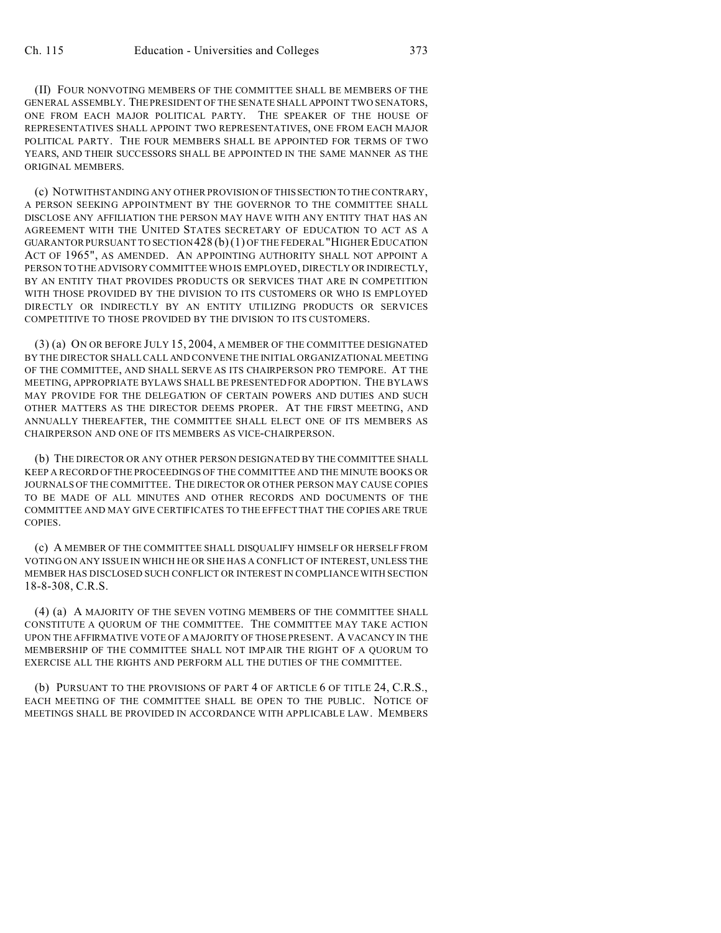(II) FOUR NONVOTING MEMBERS OF THE COMMITTEE SHALL BE MEMBERS OF THE GENERAL ASSEMBLY. THEPRESIDENT OF THE SENATE SHALL APPOINT TWO SENATORS, ONE FROM EACH MAJOR POLITICAL PARTY. THE SPEAKER OF THE HOUSE OF REPRESENTATIVES SHALL APPOINT TWO REPRESENTATIVES, ONE FROM EACH MAJOR POLITICAL PARTY. THE FOUR MEMBERS SHALL BE APPOINTED FOR TERMS OF TWO YEARS, AND THEIR SUCCESSORS SHALL BE APPOINTED IN THE SAME MANNER AS THE ORIGINAL MEMBERS.

(c) NOTWITHSTANDING ANY OTHER PROVISION OF THIS SECTION TO THE CONTRARY, A PERSON SEEKING APPOINTMENT BY THE GOVERNOR TO THE COMMITTEE SHALL DISCLOSE ANY AFFILIATION THE PERSON MAY HAVE WITH ANY ENTITY THAT HAS AN AGREEMENT WITH THE UNITED STATES SECRETARY OF EDUCATION TO ACT AS A GUARANTOR PURSUANT TO SECTION 428 (b)(1) OF THE FEDERAL "HIGHER EDUCATION ACT OF 1965", AS AMENDED. AN APPOINTING AUTHORITY SHALL NOT APPOINT A PERSON TO THE ADVISORY COMMITTEE WHO IS EMPLOYED, DIRECTLY OR INDIRECTLY, BY AN ENTITY THAT PROVIDES PRODUCTS OR SERVICES THAT ARE IN COMPETITION WITH THOSE PROVIDED BY THE DIVISION TO ITS CUSTOMERS OR WHO IS EMPLOYED DIRECTLY OR INDIRECTLY BY AN ENTITY UTILIZING PRODUCTS OR SERVICES COMPETITIVE TO THOSE PROVIDED BY THE DIVISION TO ITS CUSTOMERS.

(3) (a) ON OR BEFORE JULY 15, 2004, A MEMBER OF THE COMMITTEE DESIGNATED BY THE DIRECTOR SHALL CALL AND CONVENE THE INITIAL ORGANIZATIONAL MEETING OF THE COMMITTEE, AND SHALL SERVE AS ITS CHAIRPERSON PRO TEMPORE. AT THE MEETING, APPROPRIATE BYLAWS SHALL BE PRESENTED FOR ADOPTION. THE BYLAWS MAY PROVIDE FOR THE DELEGATION OF CERTAIN POWERS AND DUTIES AND SUCH OTHER MATTERS AS THE DIRECTOR DEEMS PROPER. AT THE FIRST MEETING, AND ANNUALLY THEREAFTER, THE COMMITTEE SHALL ELECT ONE OF ITS MEMBERS AS CHAIRPERSON AND ONE OF ITS MEMBERS AS VICE-CHAIRPERSON.

(b) THE DIRECTOR OR ANY OTHER PERSON DESIGNATED BY THE COMMITTEE SHALL KEEP A RECORD OF THE PROCEEDINGS OF THE COMMITTEE AND THE MINUTE BOOKS OR JOURNALS OF THE COMMITTEE. THE DIRECTOR OR OTHER PERSON MAY CAUSE COPIES TO BE MADE OF ALL MINUTES AND OTHER RECORDS AND DOCUMENTS OF THE COMMITTEE AND MAY GIVE CERTIFICATES TO THE EFFECT THAT THE COPIES ARE TRUE COPIES.

(c) A MEMBER OF THE COMMITTEE SHALL DISQUALIFY HIMSELF OR HERSELF FROM VOTING ON ANY ISSUE IN WHICH HE OR SHE HAS A CONFLICT OF INTEREST, UNLESS THE MEMBER HAS DISCLOSED SUCH CONFLICT OR INTEREST IN COMPLIANCE WITH SECTION 18-8-308, C.R.S.

(4) (a) A MAJORITY OF THE SEVEN VOTING MEMBERS OF THE COMMITTEE SHALL CONSTITUTE A QUORUM OF THE COMMITTEE. THE COMMITTEE MAY TAKE ACTION UPON THE AFFIRMATIVE VOTE OF A MAJORITY OF THOSE PRESENT. A VACANCY IN THE MEMBERSHIP OF THE COMMITTEE SHALL NOT IMPAIR THE RIGHT OF A QUORUM TO EXERCISE ALL THE RIGHTS AND PERFORM ALL THE DUTIES OF THE COMMITTEE.

(b) PURSUANT TO THE PROVISIONS OF PART 4 OF ARTICLE 6 OF TITLE 24, C.R.S., EACH MEETING OF THE COMMITTEE SHALL BE OPEN TO THE PUBLIC. NOTICE OF MEETINGS SHALL BE PROVIDED IN ACCORDANCE WITH APPLICABLE LAW. MEMBERS